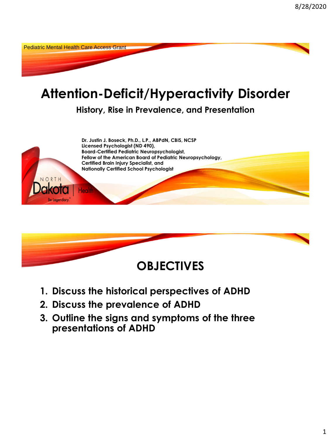Pediatric Mental Health Care Access Grant

# **Attention-Deficit/Hyperactivity Disorder**

**History, Rise in Prevalence, and Presentation**





- **1. Discuss the historical perspectives of ADHD**
- **2. Discuss the prevalence of ADHD**
- **3. Outline the signs and symptoms of the three presentations of ADHD**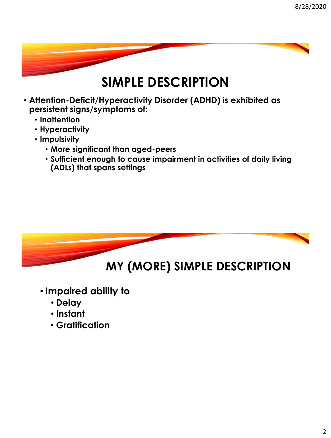# **SIMPLE DESCRIPTION**

- **Attention-Deficit/Hyperactivity Disorder (ADHD) is exhibited as persistent signs/symptoms of:**
	- **Inattention**
	- **Hyperactivity**
	- **Impulsivity** 
		- **More significant than aged-peers**
		- **Sufficient enough to cause impairment in activities of daily living (ADLs) that spans settings**



- **Impaired ability to** 
	- **Delay**
	- **Instant**
	- **Gratification**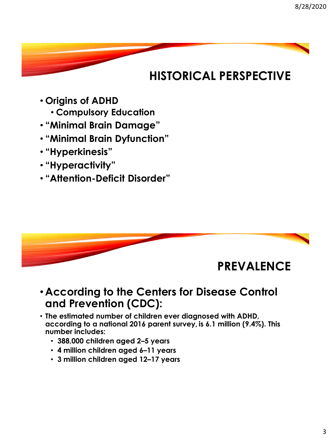# **HISTORICAL PERSPECTIVE**

- **Origins of ADHD**
	- **Compulsory Education**
- **"Minimal Brain Damage"**
- **"Minimal Brain Dyfunction"**
- **"Hyperkinesis"**
- **"Hyperactivity"**
- **"Attention-Deficit Disorder"**



#### • **According to the Centers for Disease Control and Prevention (CDC):**

- **The estimated number of children ever diagnosed with ADHD, according to a national 2016 parent survey, is 6.1 million (9.4%). This number includes:**
	- **388,000 children aged 2–5 years**
	- **4 million children aged 6–11 years**
	- **3 million children aged 12–17 years**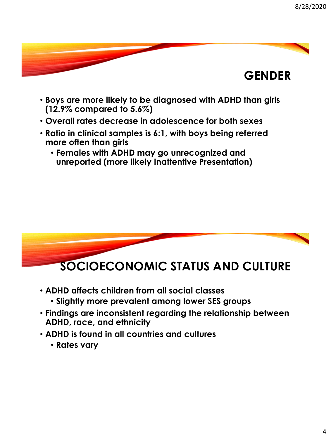

- **Boys are more likely to be diagnosed with ADHD than girls (12.9% compared to 5.6%)**
- **Overall rates decrease in adolescence for both sexes**
- **Ratio in clinical samples is 6:1, with boys being referred more often than girls**
	- **Females with ADHD may go unrecognized and unreported (more likely Inattentive Presentation)**



- **ADHD affects children from all social classes**
	- **Slightly more prevalent among lower SES groups**
- **Findings are inconsistent regarding the relationship between ADHD, race, and ethnicity**
- **ADHD is found in all countries and cultures**
	- **Rates vary**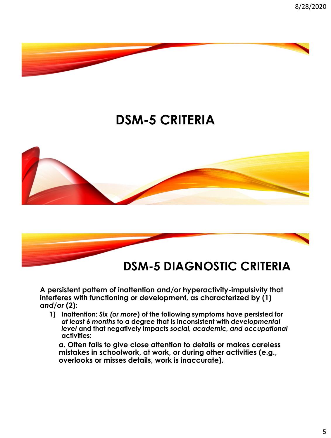

# **DSM-5 CRITERIA**





**A persistent pattern of inattention and/or hyperactivity-impulsivity that interferes with functioning or development, as characterized by (1)**  *and/or* **(2):**

**1) Inattention:** *Six (or more***) of the following symptoms have persisted for**  *at least 6 months* **to a degree that is inconsistent with** *developmental level* **and that negatively impacts** *social, academic, and occupational*  **activities:**

**a. Often fails to give close attention to details or makes careless mistakes in schoolwork, at work, or during other activities (e.g., overlooks or misses details, work is inaccurate).**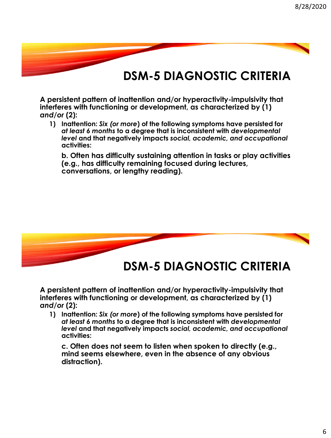**A persistent pattern of inattention and/or hyperactivity-impulsivity that interferes with functioning or development, as characterized by (1)**  *and/or* **(2):**

**1) Inattention:** *Six (or more***) of the following symptoms have persisted for**  *at least 6 months* **to a degree that is inconsistent with** *developmental level* **and that negatively impacts** *social, academic, and occupational*  **activities:**

**b. Often has difficulty sustaining attention in tasks or play activities (e.g., has difficulty remaining focused during lectures, conversations, or lengthy reading).**



**DSM-5 DIAGNOSTIC CRITERIA**

**A persistent pattern of inattention and/or hyperactivity-impulsivity that interferes with functioning or development, as characterized by (1)**  *and/or* **(2):**

**1) Inattention:** *Six (or more***) of the following symptoms have persisted for**  *at least 6 months* **to a degree that is inconsistent with** *developmental level* **and that negatively impacts** *social, academic, and occupational*  **activities:**

**c. Often does not seem to listen when spoken to directly (e.g., mind seems elsewhere, even in the absence of any obvious distraction).**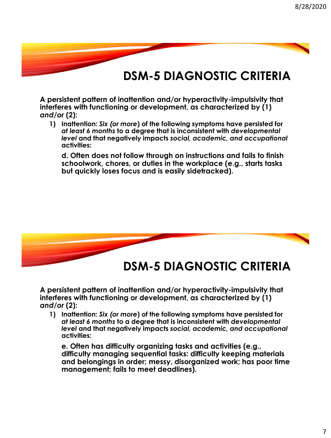**A persistent pattern of inattention and/or hyperactivity-impulsivity that interferes with functioning or development, as characterized by (1)**  *and/or* **(2):**

**1) Inattention:** *Six (or more***) of the following symptoms have persisted for**  *at least 6 months* **to a degree that is inconsistent with** *developmental level* **and that negatively impacts** *social, academic, and occupational*  **activities:**

**d. Often does not follow through on instructions and fails to finish schoolwork, chores, or duties in the workplace (e.g., starts tasks but quickly loses focus and is easily sidetracked).**



**DSM-5 DIAGNOSTIC CRITERIA**

**A persistent pattern of inattention and/or hyperactivity-impulsivity that interferes with functioning or development, as characterized by (1)**  *and/or* **(2):**

**1) Inattention:** *Six (or more***) of the following symptoms have persisted for**  *at least 6 months* **to a degree that is inconsistent with** *developmental level* **and that negatively impacts** *social, academic, and occupational*  **activities:**

**e. Often has difficulty organizing tasks and activities (e.g., difficulty managing sequential tasks: difficulty keeping materials and belongings in order; messy, disorganized work; has poor time management; fails to meet deadlines).**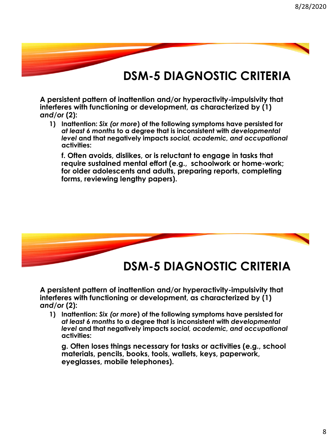**A persistent pattern of inattention and/or hyperactivity-impulsivity that interferes with functioning or development, as characterized by (1)**  *and/or* **(2):**

**1) Inattention:** *Six (or more***) of the following symptoms have persisted for**  *at least 6 months* **to a degree that is inconsistent with** *developmental level* **and that negatively impacts** *social, academic, and occupational*  **activities:**

**f. Often avoids, dislikes, or is reluctant to engage in tasks that require sustained mental effort (e.g., schoolwork or home-work; for older adolescents and adults, preparing reports, completing forms, reviewing lengthy papers).**



**DSM-5 DIAGNOSTIC CRITERIA**

**A persistent pattern of inattention and/or hyperactivity-impulsivity that interferes with functioning or development, as characterized by (1)**  *and/or* **(2):**

**1) Inattention:** *Six (or more***) of the following symptoms have persisted for**  *at least 6 months* **to a degree that is inconsistent with** *developmental level* **and that negatively impacts** *social, academic, and occupational*  **activities:**

**g. Often loses things necessary for tasks or activities (e.g., school materials, pencils, books, tools, wallets, keys, paperwork, eyeglasses, mobile telephones).**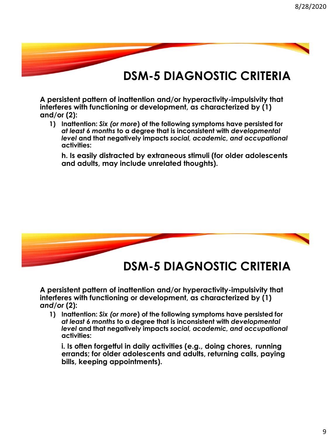**A persistent pattern of inattention and/or hyperactivity-impulsivity that interferes with functioning or development, as characterized by (1) and/or (2):**

**1) Inattention:** *Six (or more***) of the following symptoms have persisted for**  *at least 6 months* **to a degree that is inconsistent with** *developmental level* **and that negatively impacts** *social, academic, and occupational*  **activities:**

**h. Is easily distracted by extraneous stimuli (for older adolescents and adults, may include unrelated thoughts).**



**A persistent pattern of inattention and/or hyperactivity-impulsivity that interferes with functioning or development, as characterized by (1)**  *and/or* **(2):**

**1) Inattention:** *Six (or more***) of the following symptoms have persisted for**  *at least 6 months* **to a degree that is inconsistent with** *developmental level* **and that negatively impacts** *social, academic, and occupational*  **activities:**

**i. Is often forgetful in daily activities (e.g., doing chores, running errands; for older adolescents and adults, returning calls, paying bills, keeping appointments).**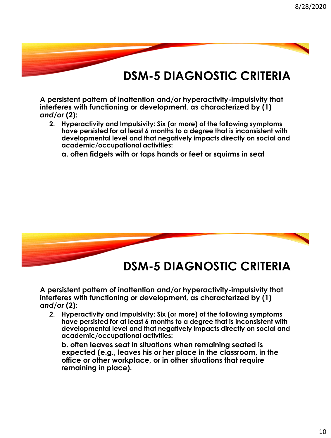**A persistent pattern of inattention and/or hyperactivity-impulsivity that interferes with functioning or development, as characterized by (1)**  *and/or* **(2):**

**2. Hyperactivity and Impulsivity: Six (or more) of the following symptoms have persisted for at least 6 months to a degree that is inconsistent with developmental level and that negatively impacts directly on social and academic/occupational activities:** 

**a. often fidgets with or taps hands or feet or squirms in seat** 



### **DSM-5 DIAGNOSTIC CRITERIA**

**A persistent pattern of inattention and/or hyperactivity-impulsivity that interferes with functioning or development, as characterized by (1)**  *and/or* **(2):**

**2. Hyperactivity and Impulsivity: Six (or more) of the following symptoms have persisted for at least 6 months to a degree that is inconsistent with developmental level and that negatively impacts directly on social and academic/occupational activities:** 

**b. often leaves seat in situations when remaining seated is expected (e.g., leaves his or her place in the classroom, in the office or other workplace, or in other situations that require remaining in place).**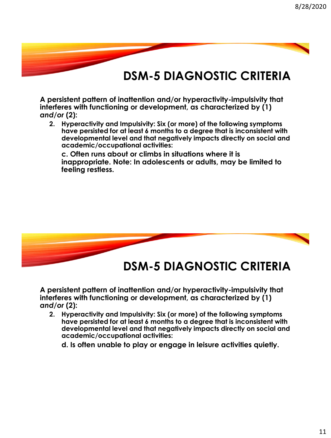**A persistent pattern of inattention and/or hyperactivity-impulsivity that interferes with functioning or development, as characterized by (1)**  *and/or* **(2):**

**2. Hyperactivity and Impulsivity: Six (or more) of the following symptoms have persisted for at least 6 months to a degree that is inconsistent with developmental level and that negatively impacts directly on social and academic/occupational activities:** 

**c. Often runs about or climbs in situations where it is inappropriate. Note: In adolescents or adults, may be limited to feeling restless.** 



**DSM-5 DIAGNOSTIC CRITERIA**

**A persistent pattern of inattention and/or hyperactivity-impulsivity that interferes with functioning or development, as characterized by (1)**  *and/or* **(2):**

**2. Hyperactivity and Impulsivity: Six (or more) of the following symptoms have persisted for at least 6 months to a degree that is inconsistent with developmental level and that negatively impacts directly on social and academic/occupational activities:** 

**d. Is often unable to play or engage in leisure activities quietly.**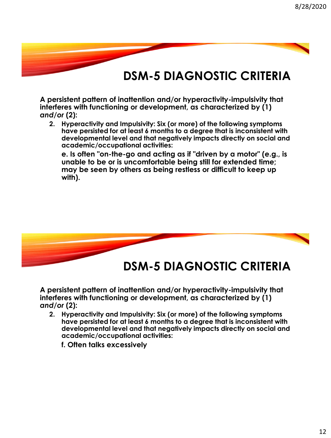**A persistent pattern of inattention and/or hyperactivity-impulsivity that interferes with functioning or development, as characterized by (1)**  *and/or* **(2):**

**2. Hyperactivity and Impulsivity: Six (or more) of the following symptoms have persisted for at least 6 months to a degree that is inconsistent with developmental level and that negatively impacts directly on social and academic/occupational activities:** 

**e. Is often "on-the-go and acting as if "driven by a motor" (e.g., is unable to be or is uncomfortable being still for extended time; may be seen by others as being restless or difficult to keep up with).** 



**DSM-5 DIAGNOSTIC CRITERIA**

**A persistent pattern of inattention and/or hyperactivity-impulsivity that interferes with functioning or development, as characterized by (1)**  *and/or* **(2):**

**2. Hyperactivity and Impulsivity: Six (or more) of the following symptoms have persisted for at least 6 months to a degree that is inconsistent with developmental level and that negatively impacts directly on social and academic/occupational activities:** 

**f. Often talks excessively**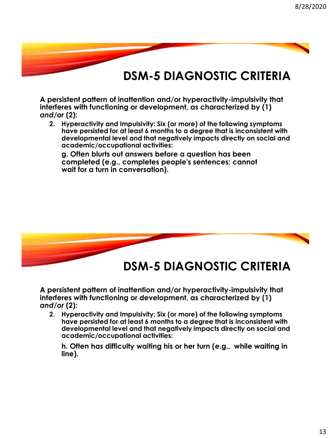**A persistent pattern of inattention and/or hyperactivity-impulsivity that interferes with functioning or development, as characterized by (1)**  *and/or* **(2):**

**2. Hyperactivity and Impulsivity: Six (or more) of the following symptoms have persisted for at least 6 months to a degree that is inconsistent with developmental level and that negatively impacts directly on social and academic/occupational activities:** 

**g. Often blurts out answers before a question has been completed (e.g., completes people's sentences; cannot wait for a turn in conversation).** 



**DSM-5 DIAGNOSTIC CRITERIA**

**A persistent pattern of inattention and/or hyperactivity-impulsivity that interferes with functioning or development, as characterized by (1)**  *and/or* **(2):**

**2. Hyperactivity and Impulsivity: Six (or more) of the following symptoms have persisted for at least 6 months to a degree that is inconsistent with developmental level and that negatively impacts directly on social and academic/occupational activities:** 

**h. Often has difficulty waiting his or her turn (e.g., while waiting in line).**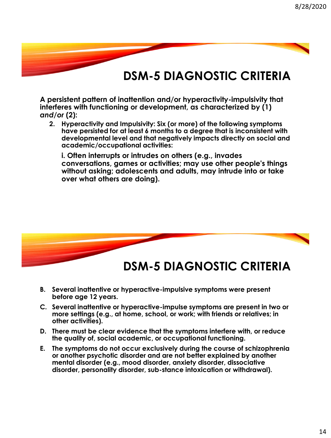**A persistent pattern of inattention and/or hyperactivity-impulsivity that interferes with functioning or development, as characterized by (1)**  *and/or* **(2):**

**2. Hyperactivity and Impulsivity: Six (or more) of the following symptoms have persisted for at least 6 months to a degree that is inconsistent with developmental level and that negatively impacts directly on social and academic/occupational activities:** 

**i. Often interrupts or intrudes on others (e.g., invades conversations, games or activities; may use other people's things without asking; adolescents and adults, may intrude into or take over what others are doing).** 



- **B. Several inattentive or hyperactive-impulsive symptoms were present before age 12 years.**
- **C. Several inattentive or hyperactive-impulse symptoms are present in two or more settings (e.g., at home, school, or work; with friends or relatives; in other activities).**
- **D. There must be clear evidence that the symptoms interfere with, or reduce the quality of, social academic, or occupational functioning.**
- **E. The symptoms do not occur exclusively during the course of schizophrenia or another psychotic disorder and are not better explained by another mental disorder (e.g., mood disorder, anxiety disorder, dissociative disorder, personality disorder, sub-stance intoxication or withdrawal).**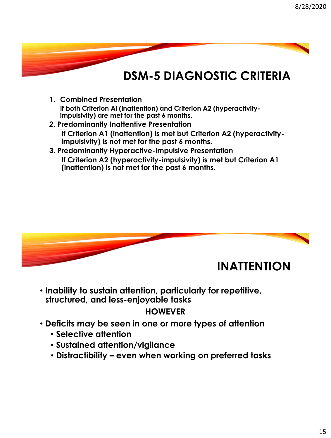- **1. Combined Presentation If both Criterion Al (inattention) and Criterion A2 (hyperactivityimpulsivity) are met for the past 6 months.**
- **2. Predominantly Inattentive Presentation If Criterion A1 (inattention) is met but Criterion A2 (hyperactivityimpulsivity) is not met for the past 6 months.**
- **3. Predominantly Hyperactive-Impulsive Presentation If Criterion A2 (hyperactivity-impulsivity) is met but Criterion A1 (inattention) is not met for the past 6 months.**



• **Inability to sustain attention, particularly for repetitive, structured, and less-enjoyable tasks**

#### **HOWEVER**

- **Deficits may be seen in one or more types of attention**
	- **Selective attention**
	- **Sustained attention/vigilance**
	- **Distractibility – even when working on preferred tasks**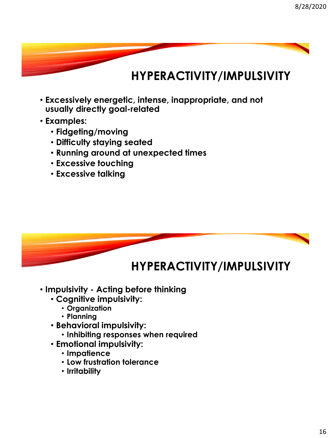### **HYPERACTIVITY/IMPULSIVITY**

- **Excessively energetic, intense, inappropriate, and not usually directly goal-related**
- **Examples:**
	- **Fidgeting/moving**
	- **Difficulty staying seated**
	- **Running around at unexpected times**
	- **Excessive touching**
	- **Excessive talking**



- **Impulsivity - Acting before thinking** 
	- **Cognitive impulsivity:**
		- **Organization**
		- **Planning**
	- **Behavioral impulsivity:**
		- **Inhibiting responses when required**
	- **Emotional impulsivity:**
		- **Impatience**
		- **Low frustration tolerance**
		- **Irritability**